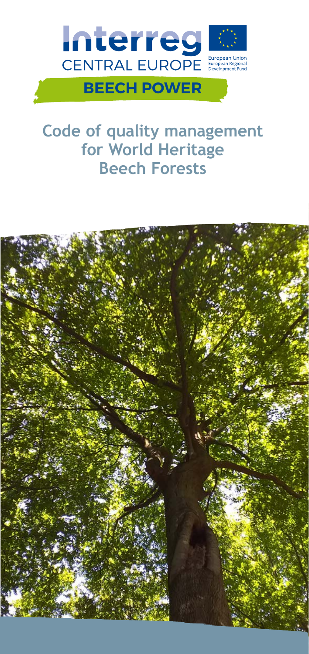

# **Code of quality management for World Heritage Beech Forests**

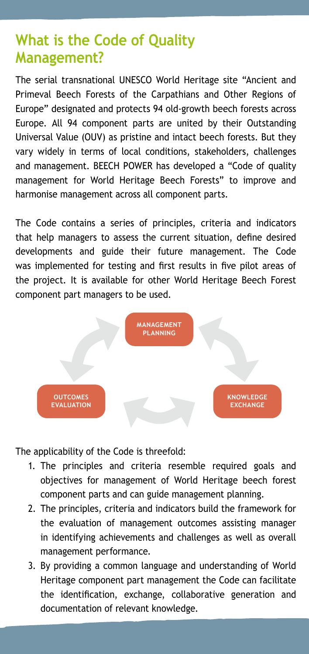# **What is the Code of Quality Management?**

The serial transnational UNESCO World Heritage site "Ancient and Primeval Beech Forests of the Carpathians and Other Regions of Europe" designated and protects 94 old-growth beech forests across Europe. All 94 component parts are united by their Outstanding Universal Value (OUV) as pristine and intact beech forests. But they vary widely in terms of local conditions, stakeholders, challenges and management. BEECH POWER has developed a "Code of quality management for World Heritage Beech Forests" to improve and harmonise management across all component parts.

The Code contains a series of principles, criteria and indicators that help managers to assess the current situation, define desired developments and guide their future management. The Code was implemented for testing and first results in five pilot areas of the project. It is available for other World Heritage Beech Forest component part managers to be used.



The applicability of the Code is threefold:

- 1. The principles and criteria resemble required goals and objectives for management of World Heritage beech forest component parts and can guide management planning.
- 2. The principles, criteria and indicators build the framework for the evaluation of management outcomes assisting manager in identifying achievements and challenges as well as overall management performance.
- 3. By providing a common language and understanding of World Heritage component part management the Code can facilitate the identification, exchange, collaborative generation and documentation of relevant knowledge.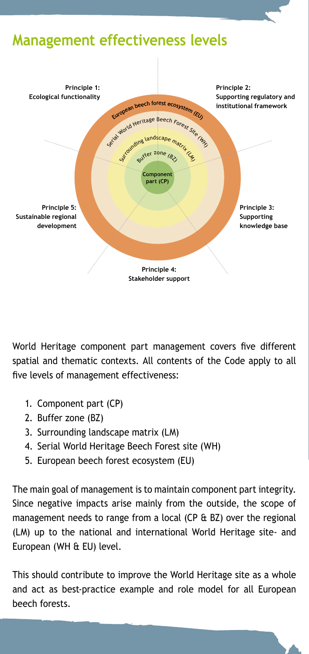# **Management effectiveness levels**



World Heritage component part management covers five different spatial and thematic contexts. All contents of the Code apply to all five levels of management effectiveness:

- 1. Component part (CP)
- 2. Buffer zone (BZ)
- 3. Surrounding landscape matrix (LM)
- 4. Serial World Heritage Beech Forest site (WH)
- 5. European beech forest ecosystem (EU)

The main goal of management is to maintain component part integrity. Since negative impacts arise mainly from the outside, the scope of management needs to range from a local (CP & BZ) over the regional (LM) up to the national and international World Heritage site- and European (WH & EU) level.

This should contribute to improve the World Heritage site as a whole and act as best-practice example and role model for all European beech forests.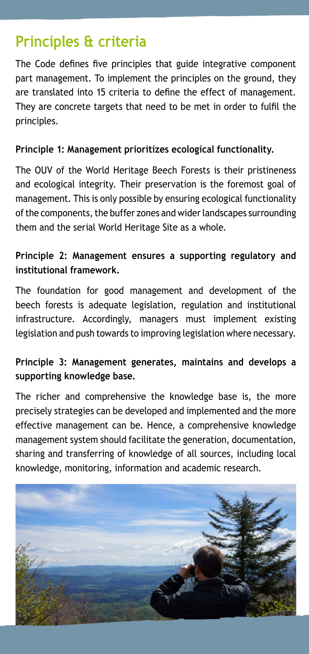# **Principles & criteria**

The Code defines five principles that guide integrative component part management. To implement the principles on the ground, they are translated into 15 criteria to define the effect of management. They are concrete targets that need to be met in order to fulfil the principles.

#### **Principle 1: Management prioritizes ecological functionality.**

The OUV of the World Heritage Beech Forests is their pristineness and ecological integrity. Their preservation is the foremost goal of management. This is only possible by ensuring ecological functionality of the components, the buffer zones and wider landscapes surrounding them and the serial World Heritage Site as a whole.

#### **Principle 2: Management ensures a supporting regulatory and institutional framework.**

The foundation for good management and development of the beech forests is adequate legislation, regulation and institutional infrastructure. Accordingly, managers must implement existing legislation and push towards to improving legislation where necessary.

#### **Principle 3: Management generates, maintains and develops a supporting knowledge base.**

The richer and comprehensive the knowledge base is, the more precisely strategies can be developed and implemented and the more effective management can be. Hence, a comprehensive knowledge management system should facilitate the generation, documentation, sharing and transferring of knowledge of all sources, including local knowledge, monitoring, information and academic research.

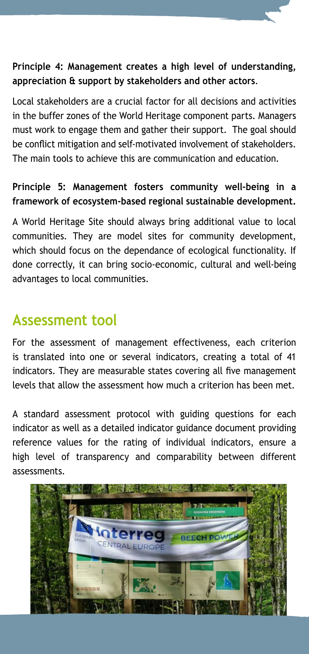#### **Principle 4: Management creates a high level of understanding, appreciation & support by stakeholders and other actors**.

Local stakeholders are a crucial factor for all decisions and activities in the buffer zones of the World Heritage component parts. Managers must work to engage them and gather their support. The goal should be conflict mitigation and self-motivated involvement of stakeholders. The main tools to achieve this are communication and education.

#### **Principle 5: Management fosters community well-being in a framework of ecosystem-based regional sustainable development.**

A World Heritage Site should always bring additional value to local communities. They are model sites for community development, which should focus on the dependance of ecological functionality. If done correctly, it can bring socio-economic, cultural and well-being advantages to local communities.

### **Assessment tool**

For the assessment of management effectiveness, each criterion is translated into one or several indicators, creating a total of 41 indicators. They are measurable states covering all five management levels that allow the assessment how much a criterion has been met.

A standard assessment protocol with guiding questions for each indicator as well as a detailed indicator guidance document providing reference values for the rating of individual indicators, ensure a high level of transparency and comparability between different assessments.